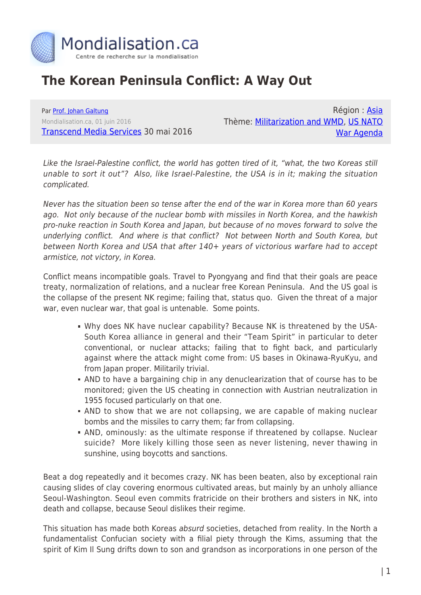

## **The Korean Peninsula Conflict: A Way Out**

Par [Prof. Johan Galtung](https://www.mondialisation.ca/author/johan-galtung) Mondialisation.ca, 01 juin 2016 [Transcend Media Services](https://www.transcend.org/tms/2016/05/the-korean-peninsula-conflict-a-way-out/) 30 mai 2016

Région : [Asia](https://www.mondialisation.ca/region/asia) Thème: [Militarization and WMD,](https://www.mondialisation.ca/theme/militarization-and-wmd) [US NATO](https://www.mondialisation.ca/theme/us-nato-war-agenda) [War Agenda](https://www.mondialisation.ca/theme/us-nato-war-agenda)

Like the Israel-Palestine conflict, the world has gotten tired of it, "what, the two Koreas still unable to sort it out"? Also, like Israel-Palestine, the USA is in it; making the situation complicated.

Never has the situation been so tense after the end of the war in Korea more than 60 years ago. Not only because of the nuclear bomb with missiles in North Korea, and the hawkish pro-nuke reaction in South Korea and Japan, but because of no moves forward to solve the underlying conflict. And where is that conflict? Not between North and South Korea, but between North Korea and USA that after 140+ years of victorious warfare had to accept armistice, not victory, in Korea.

Conflict means incompatible goals. Travel to Pyongyang and find that their goals are peace treaty, normalization of relations, and a nuclear free Korean Peninsula. And the US goal is the collapse of the present NK regime; failing that, status quo. Given the threat of a major war, even nuclear war, that goal is untenable. Some points.

- Why does NK have nuclear capability? Because NK is threatened by the USA-South Korea alliance in general and their "Team Spirit" in particular to deter conventional, or nuclear attacks; failing that to fight back, and particularly against where the attack might come from: US bases in Okinawa-RyuKyu, and from Japan proper. Militarily trivial.
- AND to have a bargaining chip in any denuclearization that of course has to be monitored; given the US cheating in connection with Austrian neutralization in 1955 focused particularly on that one.
- AND to show that we are not collapsing, we are capable of making nuclear bombs and the missiles to carry them; far from collapsing.
- AND, ominously: as the ultimate response if threatened by collapse. Nuclear suicide? More likely killing those seen as never listening, never thawing in sunshine, using boycotts and sanctions.

Beat a dog repeatedly and it becomes crazy. NK has been beaten, also by exceptional rain causing slides of clay covering enormous cultivated areas, but mainly by an unholy alliance Seoul-Washington. Seoul even commits fratricide on their brothers and sisters in NK, into death and collapse, because Seoul dislikes their regime.

This situation has made both Koreas absurd societies, detached from reality. In the North a fundamentalist Confucian society with a filial piety through the Kims, assuming that the spirit of Kim Il Sung drifts down to son and grandson as incorporations in one person of the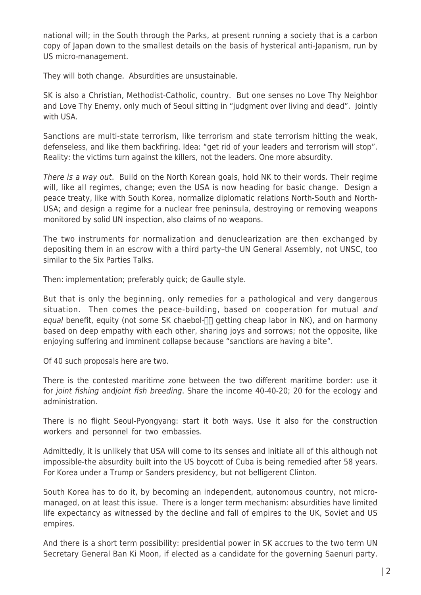national will; in the South through the Parks, at present running a society that is a carbon copy of Japan down to the smallest details on the basis of hysterical anti-Japanism, run by US micro-management.

They will both change. Absurdities are unsustainable.

SK is also a Christian, Methodist-Catholic, country. But one senses no Love Thy Neighbor and Love Thy Enemy, only much of Seoul sitting in "judgment over living and dead". Jointly with USA.

Sanctions are multi-state terrorism, like terrorism and state terrorism hitting the weak, defenseless, and like them backfiring. Idea: "get rid of your leaders and terrorism will stop". Reality: the victims turn against the killers, not the leaders. One more absurdity.

There is a way out. Build on the North Korean goals, hold NK to their words. Their regime will, like all regimes, change; even the USA is now heading for basic change. Design a peace treaty, like with South Korea, normalize diplomatic relations North-South and North-USA; and design a regime for a nuclear free peninsula, destroying or removing weapons monitored by solid UN inspection, also claims of no weapons.

The two instruments for normalization and denuclearization are then exchanged by depositing them in an escrow with a third party–the UN General Assembly, not UNSC, too similar to the Six Parties Talks.

Then: implementation; preferably quick; de Gaulle style.

But that is only the beginning, only remedies for a pathological and very dangerous situation. Then comes the peace-building, based on cooperation for mutual and equal benefit, equity (not some SK chaebol- $\Box$  getting cheap labor in NK), and on harmony based on deep empathy with each other, sharing joys and sorrows; not the opposite, like enjoying suffering and imminent collapse because "sanctions are having a bite".

Of 40 such proposals here are two.

There is the contested maritime zone between the two different maritime border: use it for *joint fishing andjoint fish breeding*. Share the income 40-40-20; 20 for the ecology and administration.

There is no flight Seoul-Pyongyang: start it both ways. Use it also for the construction workers and personnel for two embassies.

Admittedly, it is unlikely that USA will come to its senses and initiate all of this although not impossible-the absurdity built into the US boycott of Cuba is being remedied after 58 years. For Korea under a Trump or Sanders presidency, but not belligerent Clinton.

South Korea has to do it, by becoming an independent, autonomous country, not micromanaged, on at least this issue. There is a longer term mechanism: absurdities have limited life expectancy as witnessed by the decline and fall of empires to the UK, Soviet and US empires.

And there is a short term possibility: presidential power in SK accrues to the two term UN Secretary General Ban Ki Moon, if elected as a candidate for the governing Saenuri party.